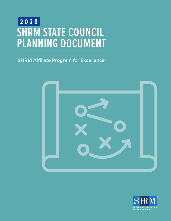**SHRM Affiliate Program for Excellence**



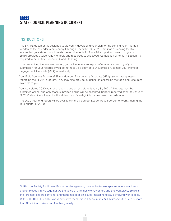### INSTRUCTIONS

This SHAPE document is designed to aid you in developing your plan for the coming year. It is meant to address the calendar year January 1 through December 31, 2020. Use it as a planning tool to ensure that your state council meets the requirements for financial support and award programs. SHRM provides a wide variety of tools and resources to assist you. Completion of items in Section I is required to be a State Council in Good Standing.

Upon submitting the year-end report, you will receive a receipt confirmation and a copy of your submission for your records. If you do not receive a copy of your submission, contact your Member Engagement Associate (MEA) immediately.

Your Field Services Director (FSD) or Member Engagement Associate (MEA) can answer questions regarding the SHAPE program. They may also provide guidance on accessing the tools and resources available to you.

Your completed 2020 year-end report is due on or before January 31, 2021. All reports must be submitted online, and only those submitted online will be accepted. Reports received after the January 31, 2021, deadline will result in the state council's ineligibility for any award consideration.

The 2020 year-end report will be available in the Volunteer Leader Resource Center (VLRC) during the third quarter of 2020.

SHRM, the Society for Human Resource Management, creates better workplaces where employers and employees thrive together. As the voice of all things work, workers and the workplace, SHRM is the foremost expert, convener and thought leader on issues impacting today's evolving workplaces. With 300,000+ HR and business executive members in 165 countries, SHRM impacts the lives of more than 115 million workers and families globally.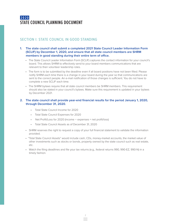## SECTION I: STATE COUNCIL IN GOOD STANDING

- **1. The state council shall submit a completed 2021 State Council Leader Information Form (SCLIF) by December 1, 2020, and ensure that all state council members are SHRM members in good standing during their entire term of office.**
	- The State Council Leader Information Form (SCLIF) captures the contact information for your council's board. This allows SHRM to effectively send to your board members communications that are relevant to their volunteer leadership roles.
	- The form is to be submitted by the deadline even if all board positions have not been filled. Please notify SHRM each time there is a change in your board during the year so that communications are sent to the correct people. An e-mail notification of those changes is sufficient. You do not have to complete a new SCLIF each time.
	- The SHRM bylaws require that all state council members be SHRM members. This requirement should also be stated in your council's bylaws. Make sure this requirement is updated in your bylaws by December 2021.

#### **2. The state council shall provide year-end financial results for the period January 1, 2020, through December 31, 2020.**

- Total State Council Income for 2020
- Total State Council Expenses for 2020
- Net Profit/Loss for 2020 (income expenses = net profit/loss)
- Total State Council Assets as of December 31, 2020
- SHRM reserves the right to request a copy of your full financial statement to validate the information provided.
- "Total State Council Assets" would include cash, CDs, money-market accounts, the market value of other investments such as stocks or bonds, property owned by the state council such as real estate, etc.
- Watch the filing deadlines and file your tax returns (e.g., federal returns 990, 990-EZ, 990-N) in a timely fashion.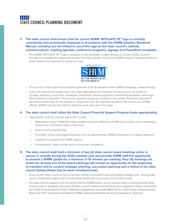- **3. The state council shall ensure that the current SHRM "AFFILIATE OF" logo is correctly, consistently and prominently displayed in accordance with the SHRM Graphics Standards Manual, including but not limited to use of the logo on the state council's website, communications, meeting agendas, conference programs, signage and PowerPoint templates.**
	- The SHRM "AFFILIATE OF" logo is available in the Volunteer Leader Resource Center (VLRC). Several formats are available for download directly from the website. Follow the SHRM Graphics Standards Manual, which defines the specifics for using the logo.



- The council is also required to include hyperlinks from its website to the SHRM homepage: www.shrm.org.
- Check all materials for proper use of the logo. Materials to be reviewed include but are not limited to signage, stationery, brochures, newsletter mastheads, meeting agendas, PowerPoint templates, name tags and conference programs. The council's website should be included in the review. Preferred "prominent" placement of the logo on the website is "above the fold" for maximum benefit to the council as a SHRM affiliate. SHRM reserves the right to randomly audit your use of the logo.

#### **4. The state council shall utilize the State Council Financial Support Program funds appropriately.**

- Appropriate uses for support payments include:
	- Attendance at the SHRM Volunteer Leaders' Business Meeting (VLBM) and at state council meetings/ leadership conference/state conference.
	- Educational programming.
	- Promotion of the core leadership areas such as Membership, SHRM Certification or College Relations.
	- Initiatives to support the SHRM mission.
	- Incorporation, legal and tax advice to ensure compliance.
- **5. The state council shall hold a minimum of two (2) state council board meetings either in person or virtually during the 2020 calendar year and provide SHRM staff the opportunity to present a SHRM update for a minimum of 15 minutes per meeting. Four (4) meetings are preferred. At least one of the board meetings will include an opportunity for the leadership to transition and to conduct strategic planning, succession planning and a review of the state council bylaws (these may be done simultaneously).**
	- Ensuring the state council's future involves having a thoughtful and purposeful strategic plan. Strong state council leadership begins with a sustainable leadership succession and transition plan.
	- The state council's bylaws must not conflict with the SHRM bylaws, and an annual review conducted by the state council board or designee will ensure that the council's policies and practices are in alignment. Please consult with your Field Services Director (FSD) or Member Engagement Associate (MEA) for the current bylaw review process. Bylaws do NOT need to be submitted to SHRM unless amendments are being proposed for approval.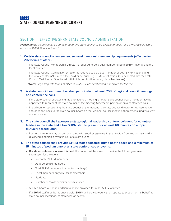## SECTION II: EFFECTIVE SHRM STATE COUNCIL ADMINISTRATION

*Please note: All items must be completed for the state council to be eligible to apply for a SHRM Excel Award and/or a SHRM Pinnacle Award.*

#### **1. Certain state council volunteer leaders must meet dual membership requirements (effective for 2021 terms of office).**

- The State Council Membership Director is required to be a dual member of both SHRM national and the local chapter.
- The State Council Certification Director\* is required to be a dual member of both SHRM national and the local chapter AND must either hold or be pursuing SHRM certification. (It is expected that the State Council Certification Director will attain this certification during his or her tenure.)

*\*Note: Beginning with terms of office in 2022, SHRM certification is required for this role.*

#### **2. A state council board member shall participate in at least 75% of regional council meetings and conference calls.**

- If the state council director is unable to attend a meeting, another state council board member may be appointed to represent the state council at the meeting (whether in person or on a conference call).
- In addition to representing the state council at the meeting, the state council director or representative should report back to the state council board on the regional council meeting, thereby ensuring two-way communication.
- **3. The state council shall sponsor a state/regional leadership conference/event for volunteer leaders in the state and allow SHRM staff to present for at least 60 minutes on a topic mutually agreed upon.** 
	- Leadership events may be co-sponsored with another state within your region. Your region may hold a qualifying leadership event in lieu of a state event.

#### **4. The state council shall provide SHRM staff dedicated, prime booth space and a minimum of 15 minutes of podium time at all state conferences or events.**

- **• If a state conference or event is held**, the council will be asked to provide the following required information for the event:
	- In-chapter SHRM members
	- At-large SHRM members
	- Total SHRM members (in-chapter + at-large)
	- Local members only (LMOs)/nonmembers
	- Students
	- Number of "sold" exhibitor booth spaces
- SHRM's booth will be in addition to space provided for other SHRM affiliates.
- If a SHRM staff member is unavailable, SHRM will provide you with an update to present on its behalf at state council meetings, conferences or events.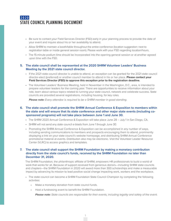- Be sure to contact your Field Services Director (FSD) early in your planning process to provide the date of your event and inquire about his or her availability to attend.
- Allow SHRM to maintain a booth/table throughout the entire conference (location suggestion: next to registration table or inside general session room). Please work with your FSD regarding location/hours.
- The 15-minute podium time should be incorporated into the opening general session or at another agreed upon time with the FSD.

#### **5. The state council shall be represented at the 2020 SHRM Volunteer Leaders' Business Meeting by the 2021 state council director.**

- If the 2021 state council director is unable to attend, an exception can be granted for the 2021 state council director-elect (preferred) or another council member to attend in his or her place. **Please contact your Field Services Director (FSD) to approve this exception prior to the registration deadline.**
- The Volunteer Leaders' Business Meeting, held in November in the Washington, D.C., area, is intended to prepare volunteer leaders for the coming year. There are opportunities to receive information about your role, learn about various topics related to running your state council, network and celebrate success. State councils are provided several registrations, including housing, for key roles.

*Please note: Every attendee is required to be a SHRM member in good standing.*

#### **6. The state council shall promote the SHRM Annual Conference & Exposition to members within the state and will ensure that its state conference and other major state events (including cosponsored programs) will not take place between June 1 and June 30.**

- The SHRM 2020 Annual Conference & Exposition will take place June 28 July 1 in San Diego, CA.
- SHRM will not send any state council e-blasts from June 1 through June 30.
- Promoting the SHRM Annual Conference & Exposition can be accomplished in any number of ways, including sending communications to members and prospects encouraging them to attend, prominently displaying a link on your state council's website homepage, and distributing SHRM Annual Conference promotional material at events. Distribution also may be electronic. Visit the Volunteer Leader Resource Center (VLRC) to access graphics and templates.

#### **7. The state council shall support the SHRM Foundation by making a monetary contribution directly from the state council's funds, received by the SHRM Foundation no later than December 31, 2020.**

The SHRM Foundation, the philanthropic affiliate of SHRM, empowers HR professionals to build a world of work that works for all. Because of support received from generous donors—including SHRM state councils and chapters—the SHRM Foundation in 2020 will award more than 300 scholarships and make a measurable impact by advancing its mission to lead positive social change impacting work, workers and the workplace.

- The state council can become a SHRM Foundation State Council Champion by completing the following activities:
	- Make a monetary donation from state council funds.
	- Host a fundraising event to benefit the SHRM Foundation.

*Please note: State councils are responsible for their events, including legality and safety of the event.*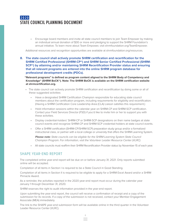• Encourage board members and invite all state council members to join Team Empower by making an individual annual donation of \$30 or more and pledging to support the SHRM Foundation's annual initiative. To learn more about Team Empower, visit shrmfoundation.org/TeamEmpower.

Additional resources and recognition opportunities are available at shrmfoundation.org/resources.

**8. The state council shall actively promote SHRM certification and recertification for the SHRM Certified Professional (SHRM-CP®) and SHRM Senior Certified Professional (SHRM-SCP®) by attaining and/or maintaining SHRM Recertification Provider status and ensuring that all relevant programs are entered into the online SHRM program database for professional development credits (PDCs).**

**"Relevant programs" is defined as program content aligned to the SHRM Body of Competency and Knowledge® (SHRM BoCK®). Note: The SHRM BoCK is available on the SHRM certification website at shrmcertification.org.**

- The state council can actively promote SHRM certification and recertification by doing some or all of these suggested activities:
	- Have a designated SHRM Certification Champion responsible for educating state council members about the certification program, including requirements for eligibility and recertification. (Having a SHRM Certification Core Leadership Area (CLA) Liaison satisfies this requirement.)
	- Hold information sessions within the calendar year on SHRM-CP and SHRM-SCP certification. Contact your Field Services Director (FSD) if you'd like to invite him or her to support you with these activities.
	- Display credential-holders' SHRM-CP or SHRM-SCP designations on their name badges at state council events and recognize SHRM-CP and SHRM-SCP credential-holders at state council events.
	- Offer a SHRM certification (SHRM-CP/SHRM-SCP) preparation study group and/or a formalized instructional class, or partner with a local college or university that offers the SHRM Learning System.

*Please note: State councils can be eligible for the SHRM Learning System State Council Champion Program. For information, visit the Volunteer Leader Resource Center (VLRC).*

• All state councils must reaffirm their SHRM Recertification Provider status by November 15 of each year.

## SHAPE YEAR-END REPORT

The completed online year-end report will be due on or before January 31, 2021. Only reports submitted online will be accepted.

Completion of all items in Section I is required to be a State Council in Good Standing.

Completion of all items in Section II is required to be eligible to apply for a SHRM Excel Award and/or a SHRM Pinnacle Award.

As a reminder, the activities reported in the 2020 year-end report must occur during the calendar year January 1 through December 31, 2020.

SHRM reserves the right to audit information provided in the year-end report.

Upon submitting the year-end report, the council will receive a confirmation of receipt and a copy of the submission for its records. If a copy of the submission is not received, contact your Member Engagement Associate (MEA) immediately.

The link to the SHAPE year-end submission form will be available online in the third quarter in the Volunteer Leader Resource Center (VLRC).